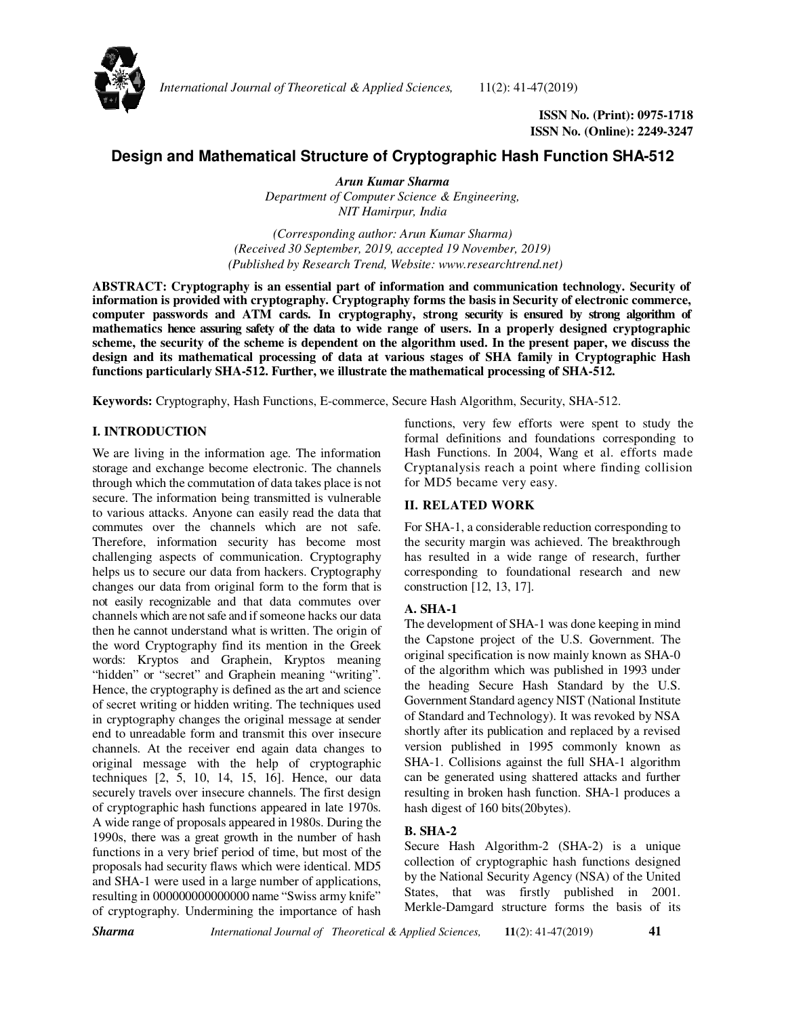

*International Journal of Theoretical & Applied Sciences,* 11(2): 41-47(2019)

**ISSN No. (Print): 0975-1718 ISSN No. (Online): 2249-3247** 

# **Design and Mathematical Structure of Cryptographic Hash Function SHA-512**

*Arun Kumar Sharma Department of Computer Science & Engineering, NIT Hamirpur, India* 

*(Corresponding author: Arun Kumar Sharma) (Received 30 September, 2019, accepted 19 November, 2019) (Published by Research Trend, Website: www.researchtrend.net)* 

**ABSTRACT: Cryptography is an essential part of information and communication technology. Security of information is provided with cryptography. Cryptography forms the basis in Security of electronic commerce, computer passwords and ATM cards. In cryptography, strong security is ensured by strong algorithm of mathematics hence assuring safety of the data to wide range of users. In a properly designed cryptographic scheme, the security of the scheme is dependent on the algorithm used. In the present paper, we discuss the design and its mathematical processing of data at various stages of SHA family in Cryptographic Hash functions particularly SHA-512. Further, we illustrate the mathematical processing of SHA-512.** 

**Keywords:** Cryptography, Hash Functions, E-commerce, Secure Hash Algorithm, Security, SHA-512.

# **I. INTRODUCTION**

We are living in the information age. The information storage and exchange become electronic. The channels through which the commutation of data takes place is not secure. The information being transmitted is vulnerable to various attacks. Anyone can easily read the data that commutes over the channels which are not safe. Therefore, information security has become most challenging aspects of communication. Cryptography helps us to secure our data from hackers. Cryptography changes our data from original form to the form that is not easily recognizable and that data commutes over channels which are not safe and if someone hacks our data then he cannot understand what is written. The origin of the word Cryptography find its mention in the Greek words: Kryptos and Graphein, Kryptos meaning "hidden" or "secret" and Graphein meaning "writing". Hence, the cryptography is defined as the art and science of secret writing or hidden writing. The techniques used in cryptography changes the original message at sender end to unreadable form and transmit this over insecure channels. At the receiver end again data changes to original message with the help of cryptographic techniques [2, 5, 10, 14, 15, 16]. Hence, our data securely travels over insecure channels. The first design of cryptographic hash functions appeared in late 1970s. A wide range of proposals appeared in 1980s. During the 1990s, there was a great growth in the number of hash functions in a very brief period of time, but most of the proposals had security flaws which were identical. MD5 and SHA-1 were used in a large number of applications, resulting in 000000000000000 name "Swiss army knife" of cryptography. Undermining the importance of hash

functions, very few efforts were spent to study the formal definitions and foundations corresponding to Hash Functions. In 2004, Wang et al. efforts made Cryptanalysis reach a point where finding collision for MD5 became very easy.

### **II. RELATED WORK**

For SHA-1, a considerable reduction corresponding to the security margin was achieved. The breakthrough has resulted in a wide range of research, further corresponding to foundational research and new construction [12, 13, 17].

# **A. SHA-1**

The development of SHA-1 was done keeping in mind the Capstone project of the U.S. Government. The original specification is now mainly known as SHA-0 of the algorithm which was published in 1993 under the heading Secure Hash Standard by the U.S. Government Standard agency NIST (National Institute of Standard and Technology). It was revoked by NSA shortly after its publication and replaced by a revised version published in 1995 commonly known as SHA-1. Collisions against the full SHA-1 algorithm can be generated using shattered attacks and further resulting in broken hash function. SHA-1 produces a hash digest of 160 bits(20bytes).

# **B. SHA-2**

Secure Hash Algorithm-2 (SHA-2) is a unique collection of cryptographic hash functions designed by the National Security Agency (NSA) of the United States, that was firstly published in 2001. Merkle-Damgard structure forms the basis of its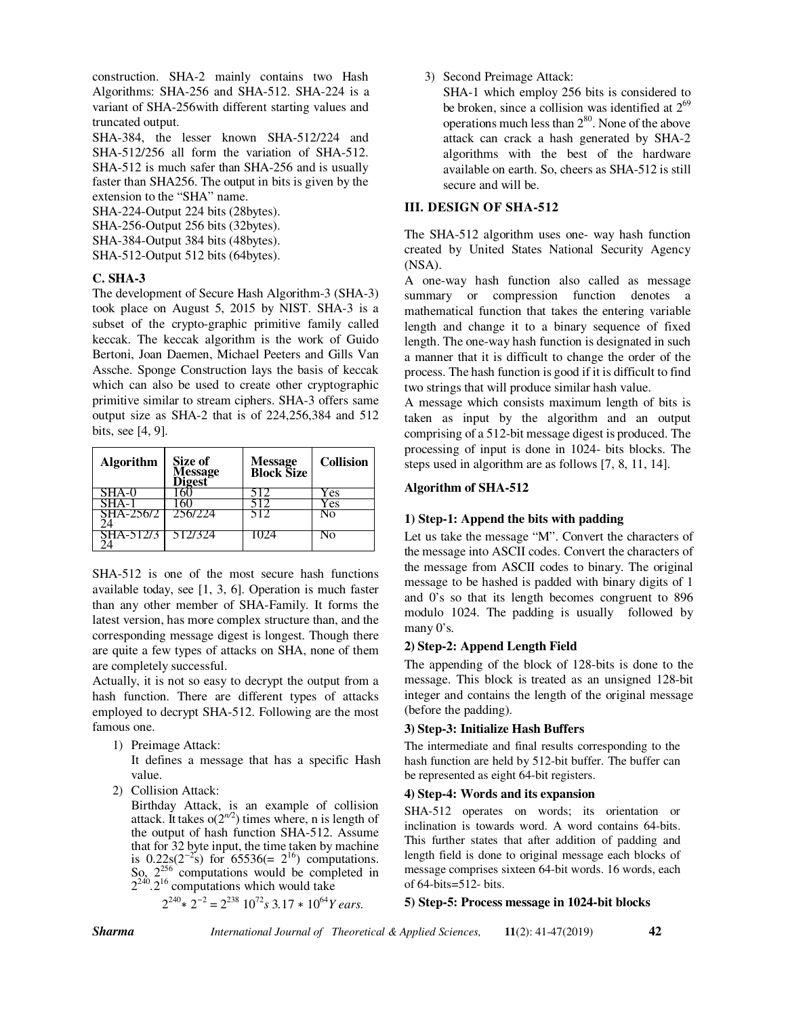construction. SHA-2 mainly contains two Hash Algorithms: SHA-256 and SHA-512. SHA-224 is a variant of SHA-256with different starting values and truncated output.

SHA-384, the lesser known SHA-512/224 and SHA-512/256 all form the variation of SHA-512. SHA-512 is much safer than SHA-256 and is usually faster than SHA256. The output in bits is given by the extension to the "SHA" name.

SHA-224-Output 224 bits (28bytes).

SHA-256-Output 256 bits (32bytes).

SHA-384-Output 384 bits (48bytes).

SHA-512-Output 512 bits (64bytes).

# **C. SHA-3**

The development of Secure Hash Algorithm-3 (SHA-3) took place on August 5, 2015 by NIST. SHA-3 is a subset of the crypto-graphic primitive family called keccak. The keccak algorithm is the work of Guido Bertoni, Joan Daemen, Michael Peeters and Gills Van Assche. Sponge Construction lays the basis of keccak which can also be used to create other cryptographic primitive similar to stream ciphers. SHA-3 offers same output size as SHA-2 that is of 224,256,384 and 512 bits, see [4, 9].

| <b>Algorithm</b> | Size of<br>Message<br>Digest | <b>Message<br/>Block Size</b> | <b>Collision</b> |
|------------------|------------------------------|-------------------------------|------------------|
| SHA-0            |                              | 512                           | Yes              |
| SHA-1            |                              |                               | Yes              |
| SHA-256/2        | 256/224                      | 512                           | Nο               |
| SHA-512/3 I      | 5127324                      | 1024                          | Nο               |

SHA-512 is one of the most secure hash functions available today, see [1, 3, 6]. Operation is much faster than any other member of SHA-Family. It forms the latest version, has more complex structure than, and the corresponding message digest is longest. Though there are quite a few types of attacks on SHA, none of them are completely successful.

Actually, it is not so easy to decrypt the output from a hash function. There are different types of attacks employed to decrypt SHA-512. Following are the most famous one.

- 1) Preimage Attack: It defines a message that has a specific Hash value.
- 2) Collision Attack:

Birthday Attack, is an example of collision attack. It takes  $o(2^{n/2})$  times where, n is length of the output of hash function SHA-512. Assume that for 32 byte input, the time taken by machine is  $0.22\sqrt{5}/(2^{-2})$  for 65536(= 2<sup>16</sup>) computations. So,  $2^{256}$  computations would be completed in  $2^{240}$ . 2<sup>16</sup> computations which would take

$$
2^{240} * 2^{-2} = 2^{238} 10^{72} s 3.17 * 10^{64} Y \text{ cars.}
$$

3) Second Preimage Attack:

SHA-1 which employ 256 bits is considered to be broken, since a collision was identified at  $2^{69}$ operations much less than  $2^{80}$ . None of the above attack can crack a hash generated by SHA-2 algorithms with the best of the hardware available on earth. So, cheers as SHA-512 is still secure and will be.

### **III. DESIGN OF SHA-512**

The SHA-512 algorithm uses one- way hash function created by United States National Security Agency (NSA).

A one-way hash function also called as message summary or compression function denotes a mathematical function that takes the entering variable length and change it to a binary sequence of fixed length. The one-way hash function is designated in such a manner that it is difficult to change the order of the process. The hash function is good if it is difficult to find two strings that will produce similar hash value.

A message which consists maximum length of bits is taken as input by the algorithm and an output comprising of a 512-bit message digest is produced. The processing of input is done in 1024- bits blocks. The steps used in algorithm are as follows [7, 8, 11, 14].

### **Algorithm of SHA-512**

# **1) Step-1: Append the bits with padding**

Let us take the message "M". Convert the characters of the message into ASCII codes. Convert the characters of the message from ASCII codes to binary. The original message to be hashed is padded with binary digits of 1 and 0's so that its length becomes congruent to 896 modulo 1024. The padding is usually followed by many 0's.

# **2) Step-2: Append Length Field**

The appending of the block of 128-bits is done to the message. This block is treated as an unsigned 128-bit integer and contains the length of the original message (before the padding).

#### **3) Step-3: Initialize Hash Buffers**

The intermediate and final results corresponding to the hash function are held by 512-bit buffer. The buffer can be represented as eight 64-bit registers.

# **4) Step-4: Words and its expansion**

SHA-512 operates on words; its orientation or inclination is towards word. A word contains 64-bits. This further states that after addition of padding and length field is done to original message each blocks of message comprises sixteen 64-bit words. 16 words, each of 64-bits=512- bits.

#### **5) Step-5: Process message in 1024-bit blocks**

*Sharma International Journal of Theoretical & Applied Sciences,* **11**(2): 41-47(2019) **42**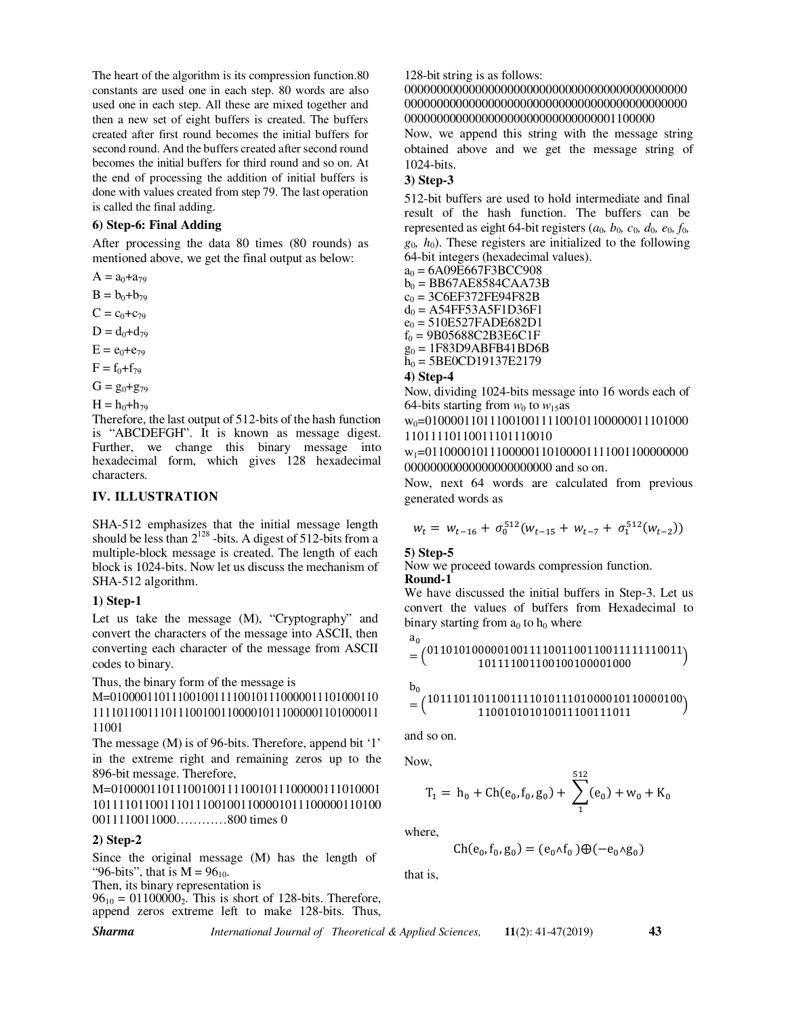The heart of the algorithm is its compression function.80 constants are used one in each step. 80 words are also used one in each step. All these are mixed together and then a new set of eight buffers is created. The buffers created after first round becomes the initial buffers for second round. And the buffers created after second round becomes the initial buffers for third round and so on. At the end of processing the addition of initial buffers is done with values created from step 79. The last operation is called the final adding.

#### **6) Step-6: Final Adding**

After processing the data 80 times (80 rounds) as mentioned above, we get the final output as below:

 $A = a_0 + a_{79}$ 

 $B = b_0 + b_{79}$ 

 $C = c_0 + c_{79}$ 

 $D = d_0 + d_{79}$ 

 $E = e_0 + e_{79}$ 

 $F = f_0 + f_{79}$ 

 $G = g_0 + g_{79}$ 

 $H = h_0 + h_{79}$ 

Therefore, the last output of 512-bits of the hash function is "ABCDEFGH". It is known as message digest. Further, we change this binary message into hexadecimal form, which gives 128 hexadecimal characters.

#### **IV. ILLUSTRATION**

SHA-512 emphasizes that the initial message length should be less than  $2^{128}$  -bits. A digest of 512-bits from a multiple-block message is created. The length of each block is 1024-bits. Now let us discuss the mechanism of SHA-512 algorithm.

#### **1) Step-1**

Let us take the message (M), "Cryptography" and convert the characters of the message into ASCII, then converting each character of the message from ASCII codes to binary.

Thus, the binary form of the message is

M=01000011011100100111100101110000011101000110 11110110011101110010011000010111000001101000011 11001

The message (M) is of 96-bits. Therefore, append bit '1' in the extreme right and remaining zeros up to the 896-bit message. Therefore,

M=010000110111001001111001011100000111010001 101111011001110111001001100001011100000110100 0011110011000…………800 times 0

#### **2) Step-2**

Since the original message (M) has the length of "96-bits", that is  $M = 96_{10}$ .

Then, its binary representation is

 $96_{10} = 01100000_2$ . This is short of 128-bits. Therefore, append zeros extreme left to make 128-bits. Thus,

*Sharma International Journal of Theoretical & Applied Sciences,* **11**(2): 41-47(2019) **43**

128-bit string is as follows:

00000000000000000000000000000000000000000000 00000000000000000000000000000000000000000000 000000000000000000000000000000001100000

Now, we append this string with the message string obtained above and we get the message string of 1024-bits.

### **3) Step-3**

512-bit buffers are used to hold intermediate and final result of the hash function. The buffers can be represented as eight 64-bit registers  $(a_0, b_0, c_0, d_0, e_0, f_0,$  $g_0$ ,  $h_0$ ). These registers are initialized to the following 64-bit integers (hexadecimal values).

 $a_0 = 6A09E667F3BCC908$  $b_0 = BB67AE8584CAA73B$  $c_0 = 3C6EF372FE94F82B$  $d_0 = A54FF53A5F1D36F1$  $e_0 = 510E527FADE682D1$  $f_0 = 9B05688C2B3E6C1F$  $g_0 = 1F83D9ABFB41BD6B$  $h_0$  = 5BE0CD19137E2179

### **4) Step-4**

Now, dividing 1024-bits message into 16 words each of 64-bits starting from  $w_0$  to  $w_1$ 5as

w<sub>0</sub>=01000011011100100111100101100000011101000 11011110110011101110010

w1=01100001011100000110100001111001100000000 00000000000000000000000 and so on.

Now, next 64 words are calculated from previous generated words as

$$
w_t = w_{t-16} + \sigma_0^{512} (w_{t-15} + w_{t-7} + \sigma_1^{512} (w_{t-2}))
$$

#### **5) Step-5**

Now we proceed towards compression function. **Round-1** 

We have discussed the initial buffers in Step-3. Let us convert the values of buffers from Hexadecimal to binary starting from  $a_0$  to  $h_0$  where

= 0110101000001001111001100110011111110011 <sup>101111001100100100001000</sup>

b = 1011101101100111101011101000010110000100 <sup>110010101010011100111011</sup>

and so on.

Now,

 $a<sub>o</sub>$ 

$$
T_1 = h_0 + Ch(e_0, f_0, g_0) + \sum_{1}^{512} (e_0) + w_0 + K_0
$$

where,

$$
Ch(e_0, f_0, g_0) = (e_0 \wedge f_0) \oplus (-e_0 \wedge g_0)
$$

that is,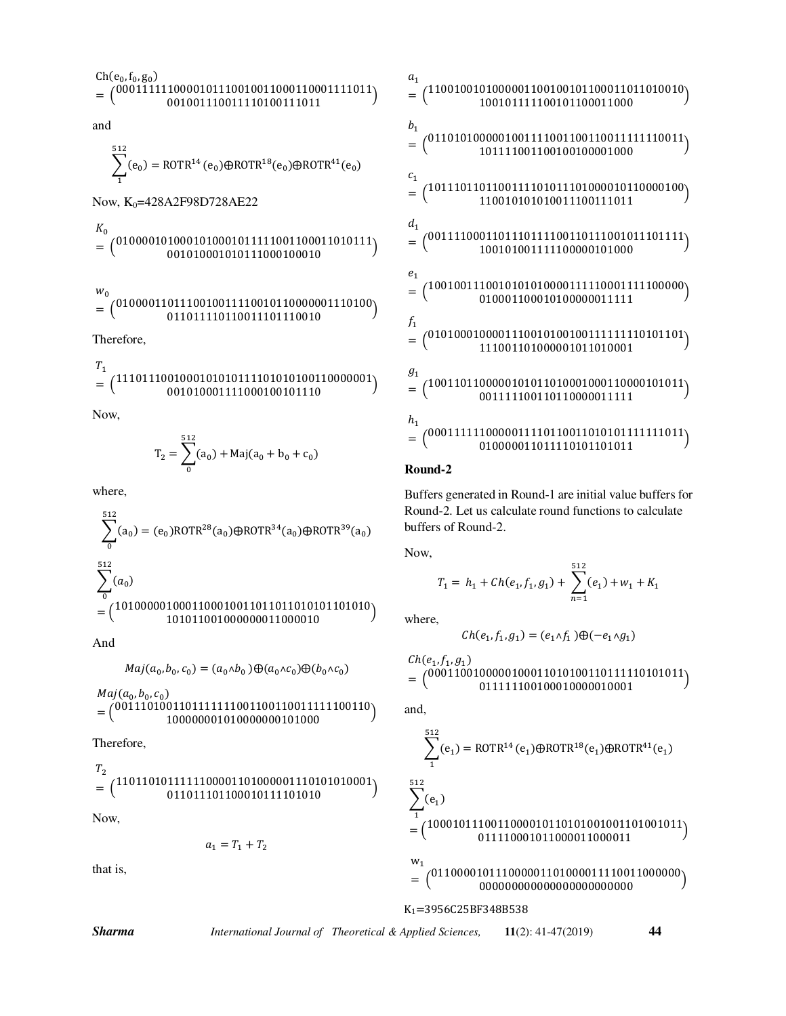$$
\text{Ch}(e_0, f_0, g_0) = \begin{pmatrix} 0.0011111110000101110010011000110001111011 \\ 0.010011110011110100111101 \end{pmatrix}
$$

and

$$
\sum_1^{512}(e_0) = \text{ROTR}^{14}(e_0) \text{ } \oplus \text{ROTR}^{18}(e_0) \text{ } \oplus \text{ROTR}^{41}(e_0)
$$

Now,  $K_0$ =428A2F98D728AE22

$$
K_0\n= \begin{pmatrix}\n0100001010001010001011111001100011010111 \\
001010001010111000100010\n\end{pmatrix}
$$

$$
w_0
$$

- = <sup>0100001101110010011110010110000001110100</sup> <sup>011011110110011101110010</sup>

Therefore,

) = <sup>1110111001000101010111101010100110000001</sup> <sup>001010001111000100101110</sup>

Now,

$$
T_2 = \sum_{0}^{512} (a_0) + \text{Maj}(a_0 + b_0 + c_0)
$$

where,

(a = (e ROTR'(a ⨁ROTR-&(a ⨁ROTR-.(a (/ = 1010000010001100010011011011010101101010 <sup>101011001000000011000010</sup>

And

$$
Maj(a_0, b_0, c_0) = (a_0 \wedge b_0) \oplus (a_0 \wedge c_0) \oplus (b_0 \wedge c_0)
$$

0/1(/ , 2 , 3 = 0011101001101111111001100110011111100110 <sup>100000001010000000101000</sup>

Therefore,

) = <sup>1101101011111100001101000001110101010001</sup> <sup>011011101100010111101010</sup>

Now,

$$
a_1 = T_1 + T_2
$$

that is,

= <sup>1100100101000001100100101100011011010010</sup> <sup>100101111100101100011000</sup> 2 = <sup>0110101000001001111001100110011111110011</sup> <sup>101111001100100100001000</sup> 3 = <sup>1011101101100111101011101000010110000100</sup> <sup>110010101010011100111011</sup> 4 = <sup>0011110001101110111100110111001011101111</sup> <sup>100101001111100000101000</sup> 5 = <sup>1001001110010101010000111110001111100000</sup> <sup>010001100010100000011111</sup> 6 = <sup>0101000100001110010100100111111110101101</sup> <sup>111001101000001011010001</sup> 7 = <sup>1001101100000101011010001000110000101011</sup> <sup>001111100110110000011111</sup> ℎ = <sup>0001111110000011110110011010101111111011</sup> <sup>010000011011110101101011</sup>

# **Round-2**

 $\boldsymbol{a}_1$ 

Buffers generated in Round-1 are initial value buffers for Round-2. Let us calculate round functions to calculate buffers of Round-2.

Now,

$$
T_1 = h_1 + Ch(e_1, f_1, g_1) + \sum_{n=1}^{512} (e_1) + w_1 + K_1
$$

where,

$$
Ch(e_1,f_1,g_1)=(e_1{\wedge} f_1)\oplus (-e_1{\wedge} g_1)
$$

9ℎ(5 , 6 , 7 = <sup>0001100100000100011010100110111110101011</sup> <sup>011111100100010000010001</sup>

and,

$$
\sum_{1}^{512}(e_1) = ROTR^{14}(e_1) \bigoplus ROTR^{18}(e_1) \bigoplus ROTR^{41}(e_1)
$$

$$
\begin{aligned} &\sum_{1}^{512}(\mathbf{e}_{1})\\ &=\left(1000101110011000010110101001001101001011\right)\\ &011110001011000011000011\end{aligned}
$$

w = 011000010111000001101000011110011000000 <sup>000000000000000000000000</sup>

K1=3956C25BF348B538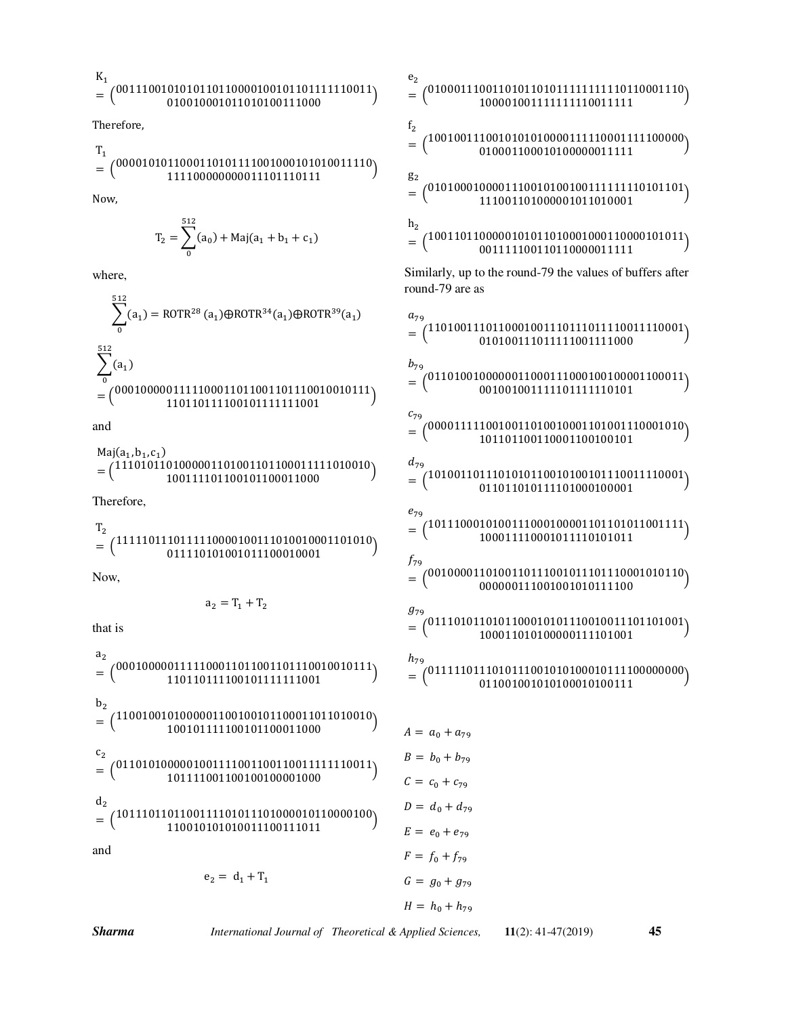$$
\begin{aligned} & \frac{K_1}{2} \\ & = \begin{pmatrix} 0011100101010111011000010010111111110011 \\ & 01001000101101010111000 \end{pmatrix} \end{aligned}
$$

Therefore,

T = <sup>0000101011000110101111001000101010011110</sup> <sup>111100000000011101110111</sup>

Now,

$$
T_2 = \sum_{0}^{512} (a_0) + \text{Maj}(a_1 + b_1 + c_1)
$$

where,

$$
\sum_{0}^{512} (a_1) = ROTR^{28} (a_1) \oplus ROTR^{34} (a_1) \oplus ROTR^{39} (a_1)
$$
  

$$
\sum_{0}^{512} (a_1)
$$

 = 0001000001111100011011001101110010010111 <sup>110110111100101111111001</sup>

and

$$
Maj(a1, b1, c1)
$$
  
= 
$$
\begin{pmatrix} 1110101101000001101001101100011111010010 \\ 100111101100101100011000 \end{pmatrix}
$$

Therefore,

T = <sup>1111101110111110000100111010010001101010</sup> <sup>011110101001011100010001</sup>

Now,

$$
a_2 = T_1 + T_2
$$

that is

a = <sup>0001000001111100011011001101110010010111</sup> <sup>110110111100101111111001</sup> b = <sup>1100100101000001100100101100011011010010</sup> <sup>100101111100101100011000</sup> c = <sup>0110101000001001111001100110011111110011</sup> <sup>101111001100100100001000</sup> d = <sup>1011101101100111101011101000010110000100</sup> <sup>110010101010011100111011</sup> and e = d + T I = / + /. J = 2 + 2. 9 = 3 + 3. K = 4 + 4.

e = <sup>0100011100110101101011111111110110001110</sup> <sup>100001001111111110011111</sup> f = <sup>1001001110010101010000111110001111100000</sup> <sup>010001100010100000011111</sup> g = <sup>0101000100001110010100100111111110101101</sup> <sup>111001101000001011010001</sup>

$$
\begin{aligned} \mathbf{h}_2 \\ &= \begin{pmatrix} 1001101100000101011010001000110000101011 \\ 001111100110110000011111 \end{pmatrix} \end{aligned}
$$

Similarly, up to the round-79 the values of buffers after round-79 are as

/. = <sup>1101001110110001001110111011110011110001</sup> <sup>010100111011111001111000</sup> 2. = <sup>0110100100000011000111000100100001100011</sup> <sup>001001001111101111110101</sup> 3. = <sup>0000111110010011010010001101001110001010</sup> <sup>101101100110001100100101</sup> 4. = <sup>1010011011101010110010100101110011110001</sup> <sup>011011010111101000100001</sup> 5. = <sup>1011100010100111000100001101101011001111</sup> <sup>100011110001011110101011</sup> 6. = <sup>0010000110100110111001011101110001010110</sup> <sup>000000111001001010111100</sup> 7. = <sup>0111010110101100010101110010011101101001</sup> <sup>100011010100000111101001</sup> ℎ. = <sup>0111110111010111001010100010111100000000</sup> <sup>011001001010100010100111</sup>

 $E = e_0 + e_{79}$  $F = f_0 + f_{79}$  $G = g_0 + g_{79}$  $H = h_0 + h_{79}$ 

*Sharma International Journal of Theoretical & Applied Sciences,* **11**(2): 41-47(2019) **45**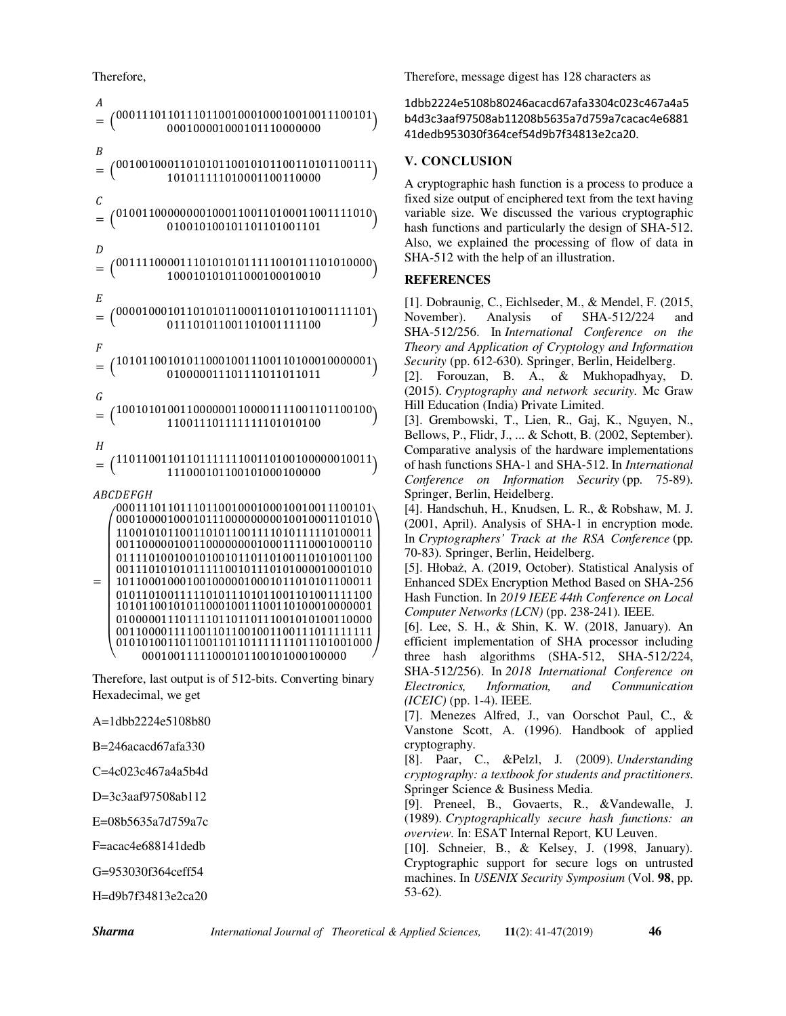Therefore,

```
\overline{A}= 0001110110111011001000100010010011100101
            000100001000101110000000  
\boldsymbol{B}= (00100100011010101100101011001101100111)101011111010001100110000  
\mathcal C= 0100110000000010001100110100011001111010
            010010100101101101001101  
K
= (001111000011101010101111100101110101000)100010101011000100010010  
L
= (0000100010110101011000110101101001111101)011101011001101001111100  
\boldsymbol{F}= 1010110010101100010011100110100010000001
            010000011101111011011011  
G
= (10010101000110000001100001111001101100100)110011101111111101010100  
H_{\rm}- (11011001101101111111100110100100000010011)
            111000101100101000100000  
ABCDEFGH
= 
  <sup>1</sup>
  Q
0011000011110011011001001100111011111111
T
  Q
0100000111011110110110111001010100110000
T
  Q
1010110010101100010011100110100010000001
  0101101001111101011101011001101001111100
  Q
1011000100010010000010001011010101100011
  Q
0011101010101111100101110101000010001010
  01111010010010100101101101001101001100 |
  0011000001001100000000100011110001000110
  \vert 110010101100110101110011111010111110100011 \
    0001110110111011001000100010010011100101
    0001000010001011100000000010010001101010
    0101010011011001101101111111011101001000
        00010011111000101100101000100000 S
                                                T
                                                T
                                                T
Therefore, last output is of 512-bits. Converting binary
```
Hexadecimal, we get

A=1dbb2224e5108b80

B=246acacd67afa330

C=4c023c467a4a5b4d

D=3c3aaf97508ab112

E=08b5635a7d759a7c

F=acac4e688141dedb

G=953030f364ceff54

H=d9b7f34813e2ca20

Therefore, message digest has 128 characters as

1dbb2224e5108b80246acacd67afa3304c023c467a4a5 b4d3c3aaf97508ab11208b5635a7d759a7cacac4e6881 41dedb953030f364cef54d9b7f34813e2ca20.

# **V. CONCLUSION**

A cryptographic hash function is a process to produce a fixed size output of enciphered text from the text having variable size. We discussed the various cryptographic hash functions and particularly the design of SHA-512. Also, we explained the processing of flow of data in SHA-512 with the help of an illustration.

# **REFERENCES**

[1]. Dobraunig, C., Eichlseder, M., & Mendel, F. (2015, November). Analysis of SHA-512/224 and SHA-512/256. In *International Conference on the Theory and Application of Cryptology and Information Security* (pp. 612-630). Springer, Berlin, Heidelberg.

[2]. Forouzan, B. A., & Mukhopadhyay, D. (2015). *Cryptography and network security*. Mc Graw Hill Education (India) Private Limited.

[3]. Grembowski, T., Lien, R., Gaj, K., Nguyen, N., Bellows, P., Flidr, J., ... & Schott, B. (2002, September). Comparative analysis of the hardware implementations of hash functions SHA-1 and SHA-512. In *International Conference on Information Security* (pp. 75-89). Springer, Berlin, Heidelberg.

[4]. Handschuh, H., Knudsen, L. R., & Robshaw, M. J. (2001, April). Analysis of SHA-1 in encryption mode. In *Cryptographers' Track at the RSA Conference* (pp. 70-83). Springer, Berlin, Heidelberg.

[5]. Hłobaż, A. (2019, October). Statistical Analysis of Enhanced SDEx Encryption Method Based on SHA-256 Hash Function. In *2019 IEEE 44th Conference on Local Computer Networks (LCN)* (pp. 238-241). IEEE.

[6]. Lee, S. H., & Shin, K. W. (2018, January). An efficient implementation of SHA processor including three hash algorithms (SHA-512, SHA-512/224, SHA-512/256). In *2018 International Conference on Electronics, Information, and Communication (ICEIC)* (pp. 1-4). IEEE.

[7]. Menezes Alfred, J., van Oorschot Paul, C., & Vanstone Scott, A. (1996). Handbook of applied cryptography.

[8]. Paar, C., &Pelzl, J. (2009). *Understanding cryptography: a textbook for students and practitioners*. Springer Science & Business Media.

[9]. Preneel, B., Govaerts, R., &Vandewalle, J. (1989). *Cryptographically secure hash functions: an overview*. In: ESAT Internal Report, KU Leuven.

[10]. Schneier, B., & Kelsey, J. (1998, January). Cryptographic support for secure logs on untrusted machines. In *USENIX Security Symposium* (Vol. **98**, pp. 53-62).